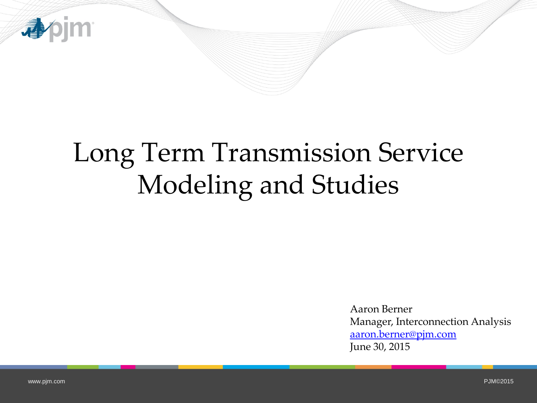

# Long Term Transmission Service Modeling and Studies

Aaron Berner Manager, Interconnection Analysis [aaron.berner@pjm.com](mailto:aaron.berner@pjm.com) June 30, 2015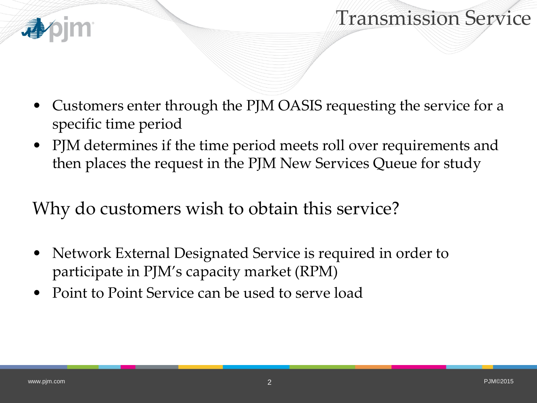



- Customers enter through the PJM OASIS requesting the service for a specific time period
- PJM determines if the time period meets roll over requirements and then places the request in the PJM New Services Queue for study

Why do customers wish to obtain this service?

- Network External Designated Service is required in order to participate in PJM's capacity market (RPM)
- Point to Point Service can be used to serve load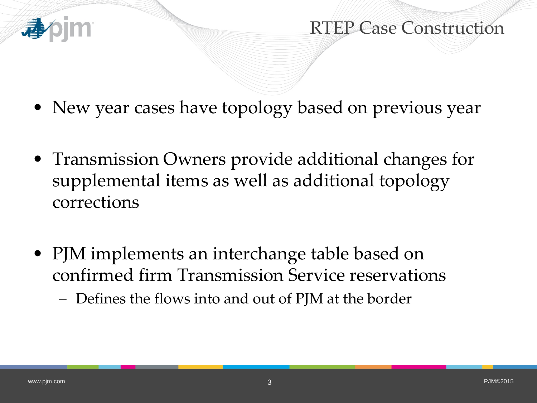

RTEP Case Construction

- New year cases have topology based on previous year
- Transmission Owners provide additional changes for supplemental items as well as additional topology corrections
- PJM implements an interchange table based on confirmed firm Transmission Service reservations
	- Defines the flows into and out of PJM at the border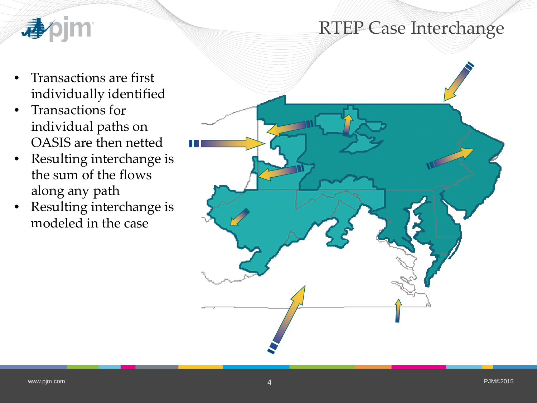#### RTEP Case Interchange



- Transactions are first individually identified
- Transactions for individual paths on OASIS are then netted
- Resulting interchange is the sum of the flows along any path
- Resulting interchange is modeled in the case

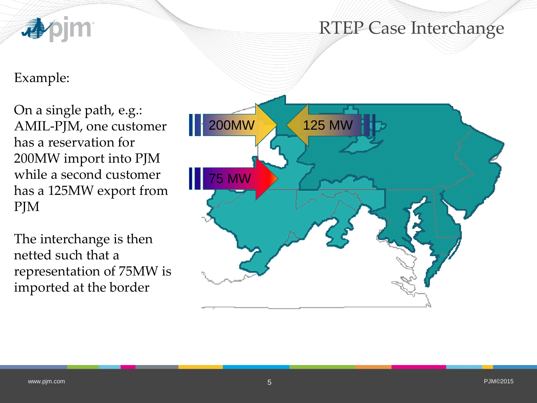

#### Example:

On a single path, e.g.: AMIL-PJM, one customer has a reservation for 200MW import into PJM while a second customer has a 125MW export from PJM

The interchange is then netted such that a representation of 75MW is imported at the border

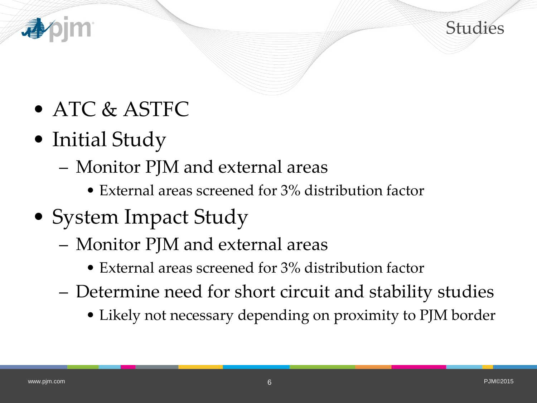



- ATC & ASTFC
- Initial Study
	- Monitor PJM and external areas
		- External areas screened for 3% distribution factor
- System Impact Study
	- Monitor PJM and external areas
		- External areas screened for 3% distribution factor
	- Determine need for short circuit and stability studies
		- Likely not necessary depending on proximity to PJM border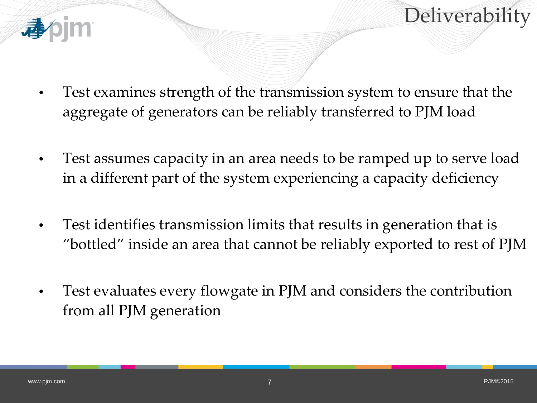



- Test examines strength of the transmission system to ensure that the aggregate of generators can be reliably transferred to PJM load
- Test assumes capacity in an area needs to be ramped up to serve load in a different part of the system experiencing a capacity deficiency
- Test identifies transmission limits that results in generation that is "bottled" inside an area that cannot be reliably exported to rest of PJM
- Test evaluates every flowgate in PJM and considers the contribution from all PJM generation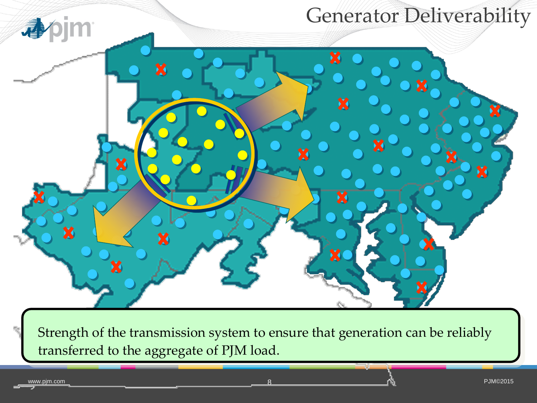

transferred to the aggregate of PJM load.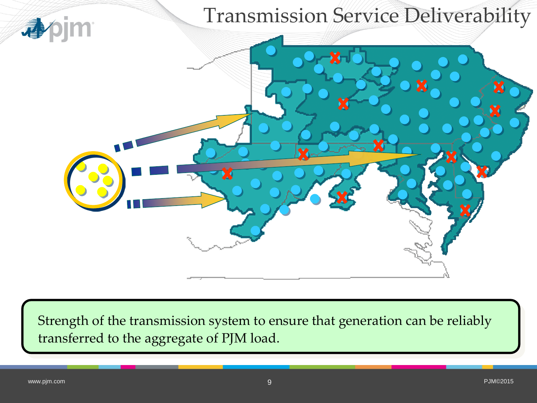

Strength of the transmission system to ensure that generation can be reliably transferred to the aggregate of PJM load.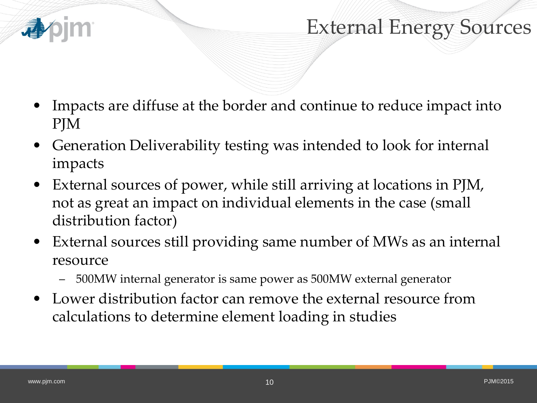

## External Energy Sources

- Impacts are diffuse at the border and continue to reduce impact into PJM
- Generation Deliverability testing was intended to look for internal impacts
- External sources of power, while still arriving at locations in PJM, not as great an impact on individual elements in the case (small distribution factor)
- External sources still providing same number of MWs as an internal resource
	- 500MW internal generator is same power as 500MW external generator
- Lower distribution factor can remove the external resource from calculations to determine element loading in studies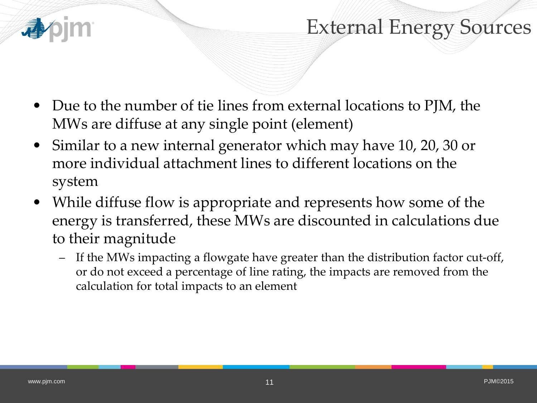

#### External Energy Sources

- Due to the number of tie lines from external locations to PJM, the MWs are diffuse at any single point (element)
- Similar to a new internal generator which may have 10, 20, 30 or more individual attachment lines to different locations on the system
- While diffuse flow is appropriate and represents how some of the energy is transferred, these MWs are discounted in calculations due to their magnitude
	- If the MWs impacting a flowgate have greater than the distribution factor cut-off, or do not exceed a percentage of line rating, the impacts are removed from the calculation for total impacts to an element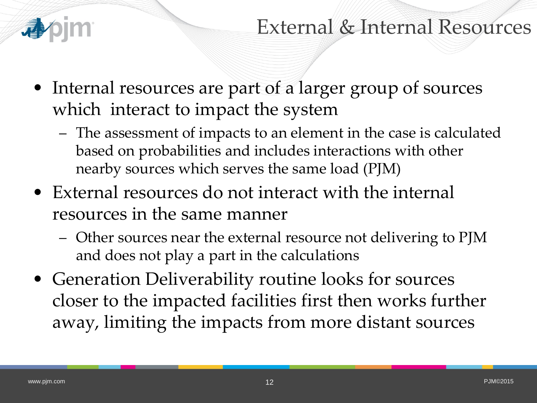

#### External & Internal Resources

- Internal resources are part of a larger group of sources which interact to impact the system
	- The assessment of impacts to an element in the case is calculated based on probabilities and includes interactions with other nearby sources which serves the same load (PJM)
- External resources do not interact with the internal resources in the same manner
	- Other sources near the external resource not delivering to PJM and does not play a part in the calculations
- Generation Deliverability routine looks for sources closer to the impacted facilities first then works further away, limiting the impacts from more distant sources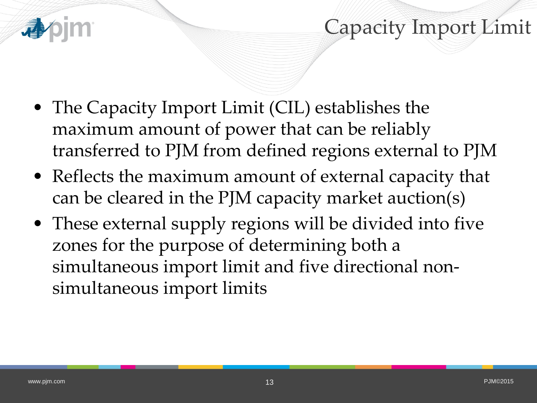- The Capacity Import Limit (CIL) establishes the maximum amount of power that can be reliably transferred to PJM from defined regions external to PJM
- Reflects the maximum amount of external capacity that can be cleared in the PJM capacity market auction(s)
- These external supply regions will be divided into five zones for the purpose of determining both a simultaneous import limit and five directional nonsimultaneous import limits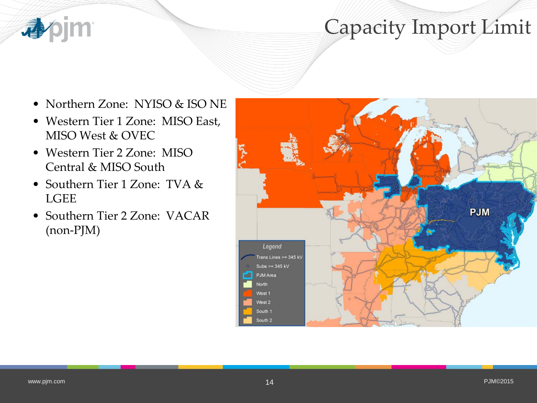

- Northern Zone: NYISO & ISO NE
- Western Tier 1 Zone: MISO East, MISO West & OVEC
- Western Tier 2 Zone: MISO Central & MISO South
- Southern Tier 1 Zone: TVA & LGEE
- Southern Tier 2 Zone: VACAR (non-PJM)

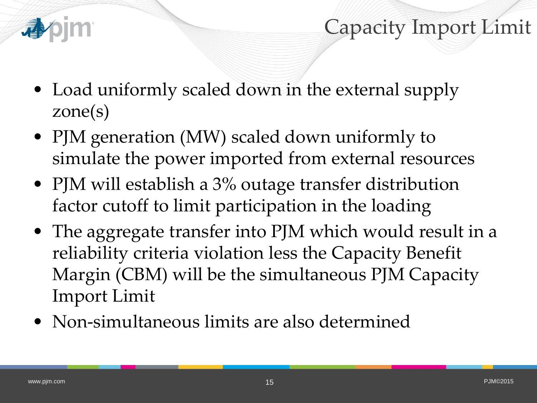

- Load uniformly scaled down in the external supply zone(s)
- PJM generation (MW) scaled down uniformly to simulate the power imported from external resources
- PJM will establish a 3% outage transfer distribution factor cutoff to limit participation in the loading
- The aggregate transfer into PJM which would result in a reliability criteria violation less the Capacity Benefit Margin (CBM) will be the simultaneous PJM Capacity Import Limit
- Non-simultaneous limits are also determined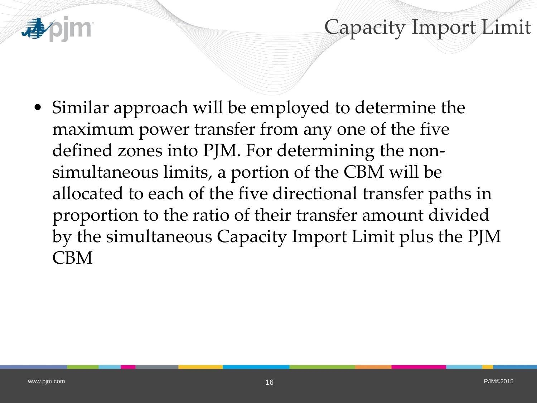• Similar approach will be employed to determine the maximum power transfer from any one of the five defined zones into PJM. For determining the nonsimultaneous limits, a portion of the CBM will be allocated to each of the five directional transfer paths in proportion to the ratio of their transfer amount divided by the simultaneous Capacity Import Limit plus the PJM CBM